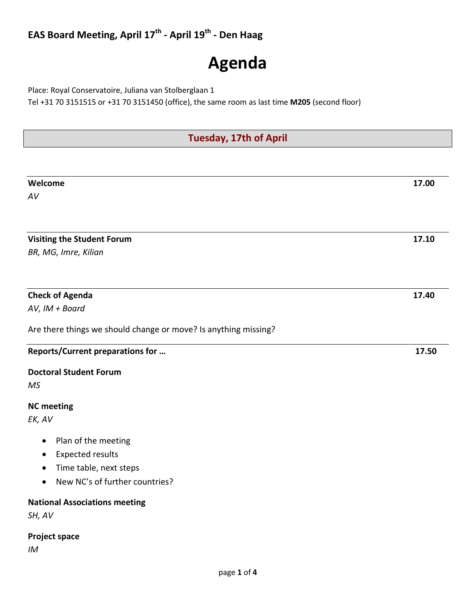# **EAS Board Meeting, April 17th - April 19th - Den Haag**

# **Agenda**

Place: Royal Conservatoire, Juliana van Stolberglaan 1

Tel +31 70 3151515 or +31 70 3151450 (office), the same room as last time **M205** (second floor)

| <b>Tuesday, 17th of April</b> |  |
|-------------------------------|--|
|                               |  |

| Welcome                                                         | 17.00 |
|-----------------------------------------------------------------|-------|
| AV                                                              |       |
|                                                                 |       |
|                                                                 |       |
| <b>Visiting the Student Forum</b>                               | 17.10 |
| BR, MG, Imre, Kilian                                            |       |
|                                                                 |       |
| <b>Check of Agenda</b>                                          | 17.40 |
| AV, IM + Board                                                  |       |
| Are there things we should change or move? Is anything missing? |       |
| Reports/Current preparations for                                | 17.50 |
| <b>Doctoral Student Forum</b>                                   |       |
| MS                                                              |       |
| <b>NC</b> meeting                                               |       |
| EK, AV                                                          |       |
| Plan of the meeting<br>$\bullet$                                |       |
| <b>Expected results</b>                                         |       |
| Time table, next steps                                          |       |
| New NC's of further countries?<br>$\bullet$                     |       |
| <b>National Associations meeting</b>                            |       |
| SH, AV                                                          |       |
| <b>Project space</b>                                            |       |
| IM                                                              |       |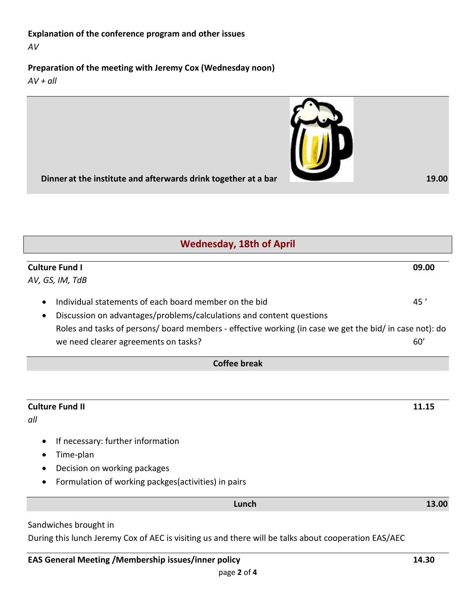# **Explanation of the conference program and other issues**

*AV*

## **Preparation of the meeting with Jeremy Cox (Wednesday noon)**

*AV + all*



|           | <b>Wednesday, 18th of April</b>                                                                         |       |  |  |
|-----------|---------------------------------------------------------------------------------------------------------|-------|--|--|
|           | <b>Culture Fund I</b>                                                                                   | 09.00 |  |  |
|           | AV, GS, IM, TdB                                                                                         |       |  |  |
| $\bullet$ | Individual statements of each board member on the bid                                                   | 45'   |  |  |
|           | Discussion on advantages/problems/calculations and content questions                                    |       |  |  |
|           | Roles and tasks of persons/ board members - effective working (in case we get the bid/ in case not): do |       |  |  |
|           | we need clearer agreements on tasks?                                                                    | 60'   |  |  |
|           | <b>Coffee break</b>                                                                                     |       |  |  |
|           |                                                                                                         |       |  |  |
|           | <b>Culture Fund II</b>                                                                                  | 11.15 |  |  |
| all       |                                                                                                         |       |  |  |
|           | If necessary: further information                                                                       |       |  |  |
|           | Time-plan                                                                                               |       |  |  |
|           | Decision on working packages                                                                            |       |  |  |
| $\bullet$ | Formulation of working packges(activities) in pairs                                                     |       |  |  |
|           | Lunch                                                                                                   | 13.00 |  |  |
|           | Sandwiches brought in                                                                                   |       |  |  |

During this lunch Jeremy Cox of AEC is visiting us and there will be talks about cooperation EAS/AEC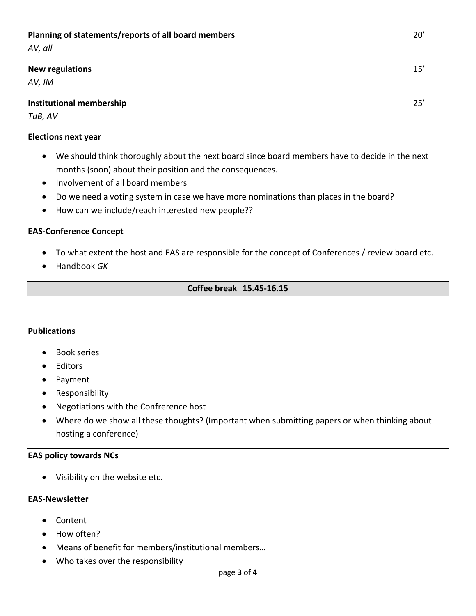#### **Planning of statements/reports of all board members** 20'

*AV, all*

#### **New regulations** 15'

*AV, IM*

#### **Institutional membership** 25'

*TdB, AV*

#### **Elections next year**

- We should think thoroughly about the next board since board members have to decide in the next months (soon) about their position and the consequences.
- Involvement of all board members
- Do we need a voting system in case we have more nominations than places in the board?
- How can we include/reach interested new people??

#### **EAS-Conference Concept**

- To what extent the host and EAS are responsible for the concept of Conferences / review board etc.
- Handbook *GK*

#### **Coffee break 15.45-16.15**

#### **Publications**

- Book series
- Editors
- Payment
- Responsibility
- Negotiations with the Confrerence host
- Where do we show all these thoughts? (Important when submitting papers or when thinking about hosting a conference)

#### **EAS policy towards NCs**

• Visibility on the website etc.

#### **EAS-Newsletter**

- Content
- How often?
- Means of benefit for members/institutional members…
- Who takes over the responsibility